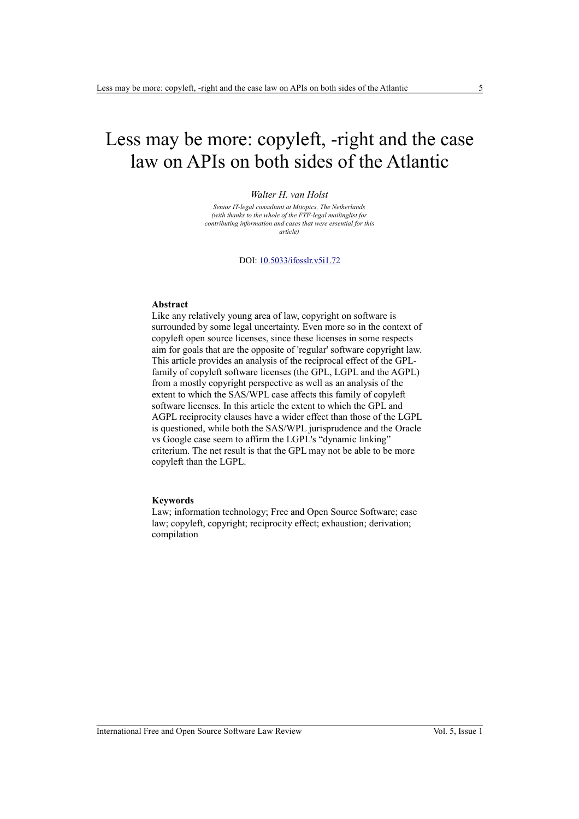# Less may be more: copyleft, -right and the case law on APIs on both sides of the Atlantic

#### *Walter H. van Holst*

*Senior IT-legal consultant at Mitopics, The Netherlands (with thanks to the whole of the FTF-legal mailinglist for contributing information and cases that were essential for this article)*

DOI: [10.5033/ifosslr.v5i1.72](http://dx.doi.org/10.5033/ifosslr.v5i1.72)

## **Abstract**

Like any relatively young area of law, copyright on software is surrounded by some legal uncertainty. Even more so in the context of copyleft open source licenses, since these licenses in some respects aim for goals that are the opposite of 'regular' software copyright law. This article provides an analysis of the reciprocal effect of the GPLfamily of copyleft software licenses (the GPL, LGPL and the AGPL) from a mostly copyright perspective as well as an analysis of the extent to which the SAS/WPL case affects this family of copyleft software licenses. In this article the extent to which the GPL and AGPL reciprocity clauses have a wider effect than those of the LGPL is questioned, while both the SAS/WPL jurisprudence and the Oracle vs Google case seem to affirm the LGPL's "dynamic linking" criterium. The net result is that the GPL may not be able to be more copyleft than the LGPL.

#### **Keywords**

Law; information technology; Free and Open Source Software; case law; copyleft, copyright; reciprocity effect; exhaustion; derivation; compilation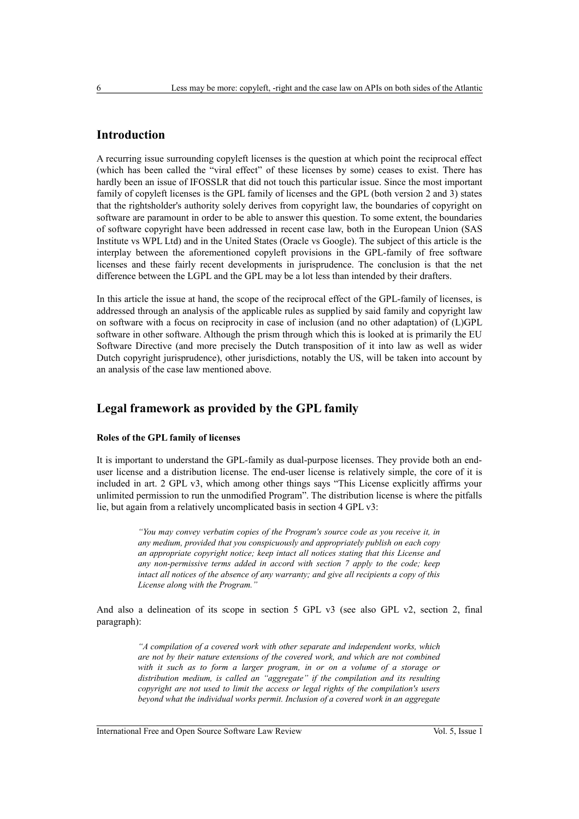# **Introduction**

A recurring issue surrounding copyleft licenses is the question at which point the reciprocal effect (which has been called the "viral effect" of these licenses by some) ceases to exist. There has hardly been an issue of IFOSSLR that did not touch this particular issue. Since the most important family of copyleft licenses is the GPL family of licenses and the GPL (both version 2 and 3) states that the rightsholder's authority solely derives from copyright law, the boundaries of copyright on software are paramount in order to be able to answer this question. To some extent, the boundaries of software copyright have been addressed in recent case law, both in the European Union (SAS Institute vs WPL Ltd) and in the United States (Oracle vs Google). The subject of this article is the interplay between the aforementioned copyleft provisions in the GPL-family of free software licenses and these fairly recent developments in jurisprudence. The conclusion is that the net difference between the LGPL and the GPL may be a lot less than intended by their drafters.

In this article the issue at hand, the scope of the reciprocal effect of the GPL-family of licenses, is addressed through an analysis of the applicable rules as supplied by said family and copyright law on software with a focus on reciprocity in case of inclusion (and no other adaptation) of (L)GPL software in other software. Although the prism through which this is looked at is primarily the EU Software Directive (and more precisely the Dutch transposition of it into law as well as wider Dutch copyright jurisprudence), other jurisdictions, notably the US, will be taken into account by an analysis of the case law mentioned above.

# **Legal framework as provided by the GPL family**

## **Roles of the GPL family of licenses**

It is important to understand the GPL-family as dual-purpose licenses. They provide both an enduser license and a distribution license. The end-user license is relatively simple, the core of it is included in art. 2 GPL v3, which among other things says "This License explicitly affirms your unlimited permission to run the unmodified Program". The distribution license is where the pitfalls lie, but again from a relatively uncomplicated basis in section 4 GPL v3:

> *"You may convey verbatim copies of the Program's source code as you receive it, in any medium, provided that you conspicuously and appropriately publish on each copy an appropriate copyright notice; keep intact all notices stating that this License and any non-permissive terms added in accord with section 7 apply to the code; keep intact all notices of the absence of any warranty; and give all recipients a copy of this License along with the Program."*

And also a delineation of its scope in section 5 GPL v3 (see also GPL v2, section 2, final paragraph):

> *"A compilation of a covered work with other separate and independent works, which are not by their nature extensions of the covered work, and which are not combined with it such as to form a larger program, in or on a volume of a storage or distribution medium, is called an "aggregate" if the compilation and its resulting copyright are not used to limit the access or legal rights of the compilation's users beyond what the individual works permit. Inclusion of a covered work in an aggregate*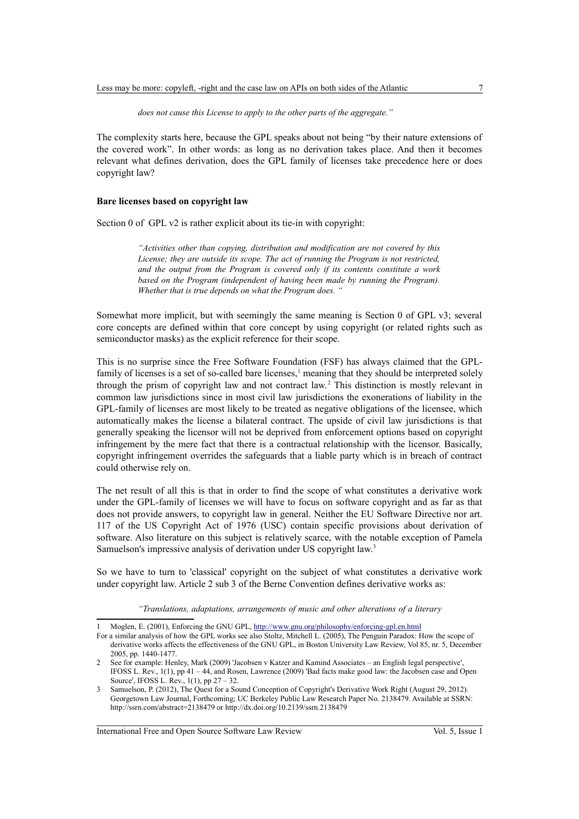*does not cause this License to apply to the other parts of the aggregate."*

The complexity starts here, because the GPL speaks about not being "by their nature extensions of the covered work". In other words: as long as no derivation takes place. And then it becomes relevant what defines derivation, does the GPL family of licenses take precedence here or does copyright law?

#### **Bare licenses based on copyright law**

Section 0 of GPL v2 is rather explicit about its tie-in with copyright:

*"Activities other than copying, distribution and modification are not covered by this License; they are outside its scope. The act of running the Program is not restricted, and the output from the Program is covered only if its contents constitute a work based on the Program (independent of having been made by running the Program). Whether that is true depends on what the Program does. "*

Somewhat more implicit, but with seemingly the same meaning is Section 0 of GPL v3; several core concepts are defined within that core concept by using copyright (or related rights such as semiconductor masks) as the explicit reference for their scope.

This is no surprise since the Free Software Foundation (FSF) has always claimed that the GPL-family of licenses is a set of so-called bare licenses,<sup>[1](#page-2-0)</sup> meaning that they should be interpreted solely through the prism of copyright law and not contract law.[2](#page-2-1) This distinction is mostly relevant in common law jurisdictions since in most civil law jurisdictions the exonerations of liability in the GPL-family of licenses are most likely to be treated as negative obligations of the licensee, which automatically makes the license a bilateral contract. The upside of civil law jurisdictions is that generally speaking the licensor will not be deprived from enforcement options based on copyright infringement by the mere fact that there is a contractual relationship with the licensor. Basically, copyright infringement overrides the safeguards that a liable party which is in breach of contract could otherwise rely on.

The net result of all this is that in order to find the scope of what constitutes a derivative work under the GPL-family of licenses we will have to focus on software copyright and as far as that does not provide answers, to copyright law in general. Neither the EU Software Directive nor art. 117 of the US Copyright Act of 1976 (USC) contain specific provisions about derivation of software. Also literature on this subject is relatively scarce, with the notable exception of Pamela Samuelson's impressive analysis of derivation under US copyright law.<sup>[3](#page-2-2)</sup>

So we have to turn to 'classical' copyright on the subject of what constitutes a derivative work under copyright law. Article 2 sub 3 of the Berne Convention defines derivative works as:

*"Translations, adaptations, arrangements of music and other alterations of a literary*

<span id="page-2-0"></span><sup>1</sup> Moglen, E. (2001), Enforcing the GNU GPL,<http://www.gnu.org/philosophy/enforcing-gpl.en.html>

For a similar analysis of how the GPL works see also Stoltz, Mitchell L. (2005), The Penguin Paradox: How the scope of derivative works affects the effectiveness of the GNU GPL, in Boston University Law Review, Vol 85, nr. 5, December 2005, pp. 1440-1477.

<span id="page-2-1"></span><sup>2</sup> See for example: Henley, Mark (2009) 'Jacobsen v Katzer and Kamind Associates – an English legal perspective', IFOSS L. Rev., 1(1), pp 41 – 44, and Rosen, Lawrence (2009) 'Bad facts make good law: the Jacobsen case and Open Source', IFOSS L. Rev., 1(1), pp 27 – 32.

<span id="page-2-2"></span><sup>3</sup> Samuelson, P. (2012), The Quest for a Sound Conception of Copyright's Derivative Work Right (August 29, 2012). Georgetown Law Journal, Forthcoming; UC Berkeley Public Law Research Paper No. 2138479. Available at SSRN: http://ssrn.com/abstract=2138479 or http://dx.doi.org/10.2139/ssrn.2138479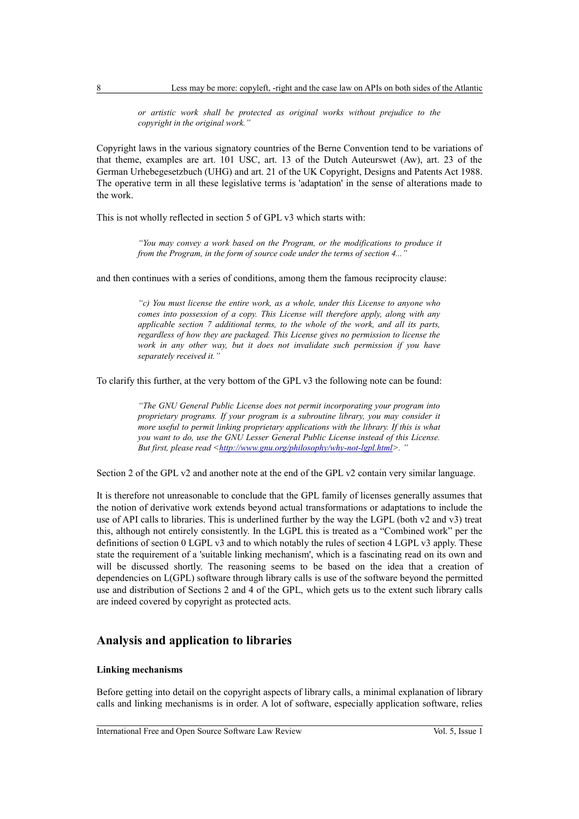*or artistic work shall be protected as original works without prejudice to the copyright in the original work."*

Copyright laws in the various signatory countries of the Berne Convention tend to be variations of that theme, examples are art. 101 USC, art. 13 of the Dutch Auteurswet (Aw), art. 23 of the German Urhebegesetzbuch (UHG) and art. 21 of the UK Copyright, Designs and Patents Act 1988. The operative term in all these legislative terms is 'adaptation' in the sense of alterations made to the work.

This is not wholly reflected in section 5 of GPL v3 which starts with:

*"You may convey a work based on the Program, or the modifications to produce it from the Program, in the form of source code under the terms of section 4...* 

and then continues with a series of conditions, among them the famous reciprocity clause:

*"c) You must license the entire work, as a whole, under this License to anyone who comes into possession of a copy. This License will therefore apply, along with any applicable section 7 additional terms, to the whole of the work, and all its parts, regardless of how they are packaged. This License gives no permission to license the work in any other way, but it does not invalidate such permission if you have separately received it."*

To clarify this further, at the very bottom of the GPL v3 the following note can be found:

*"The GNU General Public License does not permit incorporating your program into proprietary programs. If your program is a subroutine library, you may consider it more useful to permit linking proprietary applications with the library. If this is what you want to do, use the GNU Lesser General Public License instead of this License. But first, please read [<http://www.gnu.org/philosophy/why-not-lgpl.html>](http://www.gnu.org/philosophy/why-not-lgpl.html).* "

Section 2 of the GPL v2 and another note at the end of the GPL v2 contain very similar language.

It is therefore not unreasonable to conclude that the GPL family of licenses generally assumes that the notion of derivative work extends beyond actual transformations or adaptations to include the use of API calls to libraries. This is underlined further by the way the LGPL (both v2 and v3) treat this, although not entirely consistently. In the LGPL this is treated as a "Combined work" per the definitions of section 0 LGPL v3 and to which notably the rules of section 4 LGPL v3 apply. These state the requirement of a 'suitable linking mechanism', which is a fascinating read on its own and will be discussed shortly. The reasoning seems to be based on the idea that a creation of dependencies on L(GPL) software through library calls is use of the software beyond the permitted use and distribution of Sections 2 and 4 of the GPL, which gets us to the extent such library calls are indeed covered by copyright as protected acts.

## **Analysis and application to libraries**

### **Linking mechanisms**

Before getting into detail on the copyright aspects of library calls, a minimal explanation of library calls and linking mechanisms is in order. A lot of software, especially application software, relies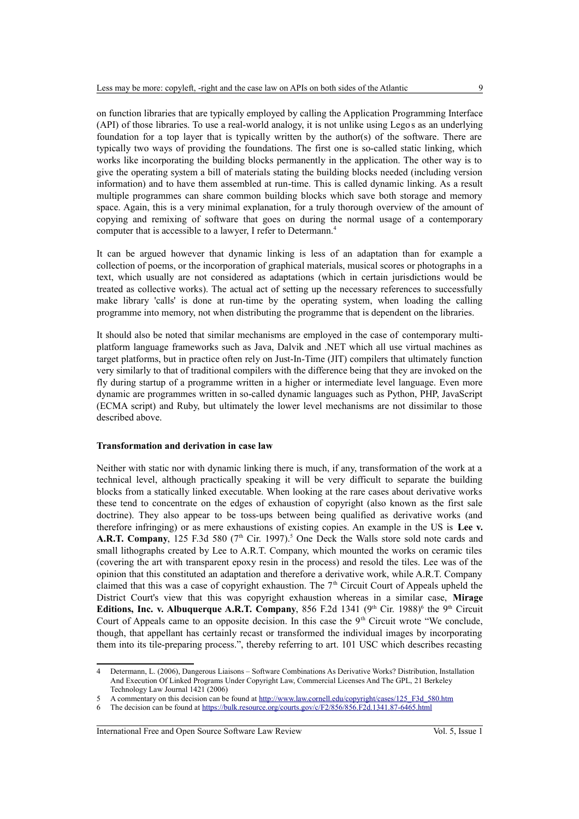on function libraries that are typically employed by calling the Application Programming Interface (API) of those libraries. To use a real-world analogy, it is not unlike using Legos as an underlying foundation for a top layer that is typically written by the author(s) of the software. There are typically two ways of providing the foundations. The first one is so-called static linking, which works like incorporating the building blocks permanently in the application. The other way is to give the operating system a bill of materials stating the building blocks needed (including version information) and to have them assembled at run-time. This is called dynamic linking. As a result multiple programmes can share common building blocks which save both storage and memory space. Again, this is a very minimal explanation, for a truly thorough overview of the amount of copying and remixing of software that goes on during the normal usage of a contemporary computer that is accessible to a lawyer, I refer to Determann.[4](#page-4-0)

It can be argued however that dynamic linking is less of an adaptation than for example a collection of poems, or the incorporation of graphical materials, musical scores or photographs in a text, which usually are not considered as adaptations (which in certain jurisdictions would be treated as collective works). The actual act of setting up the necessary references to successfully make library 'calls' is done at run-time by the operating system, when loading the calling programme into memory, not when distributing the programme that is dependent on the libraries.

It should also be noted that similar mechanisms are employed in the case of contemporary multiplatform language frameworks such as Java, Dalvik and .NET which all use virtual machines as target platforms, but in practice often rely on Just-In-Time (JIT) compilers that ultimately function very similarly to that of traditional compilers with the difference being that they are invoked on the fly during startup of a programme written in a higher or intermediate level language. Even more dynamic are programmes written in so-called dynamic languages such as Python, PHP, JavaScript (ECMA script) and Ruby, but ultimately the lower level mechanisms are not dissimilar to those described above.

## **Transformation and derivation in case law**

Neither with static nor with dynamic linking there is much, if any, transformation of the work at a technical level, although practically speaking it will be very difficult to separate the building blocks from a statically linked executable. When looking at the rare cases about derivative works these tend to concentrate on the edges of exhaustion of copyright (also known as the first sale doctrine). They also appear to be toss-ups between being qualified as derivative works (and therefore infringing) or as mere exhaustions of existing copies. An example in the US is **Lee v. A.R.T. Company**, 12[5](#page-4-1) F.3d 580 ( $7<sup>th</sup>$  Cir. 1997).<sup>5</sup> One Deck the Walls store sold note cards and small lithographs created by Lee to A.R.T. Company, which mounted the works on ceramic tiles (covering the art with transparent epoxy resin in the process) and resold the tiles. Lee was of the opinion that this constituted an adaptation and therefore a derivative work, while A.R.T. Company claimed that this was a case of copyright exhaustion. The  $7<sup>th</sup>$  Circuit Court of Appeals upheld the District Court's view that this was copyright exhaustion whereas in a similar case, **Mirage Editions, Inc. v. Albuquerque A.R.T. Company**, 85[6](#page-4-2) F.2d 1341 ( $9<sup>th</sup>$  Cir. 1988)<sup>6</sup> the  $9<sup>th</sup>$  Circuit Court of Appeals came to an opposite decision. In this case the  $9<sup>th</sup>$  Circuit wrote "We conclude, though, that appellant has certainly recast or transformed the individual images by incorporating them into its tile-preparing process.", thereby referring to art. 101 USC which describes recasting

<span id="page-4-0"></span><sup>4</sup> Determann, L. (2006), Dangerous Liaisons – Software Combinations As Derivative Works? Distribution, Installation And Execution Of Linked Programs Under Copyright Law, Commercial Licenses And The GPL, 21 Berkeley Technology Law Journal 1421 (2006)

<span id="page-4-1"></span><sup>5</sup> A commentary on this decision can be found at http://www.law.cornell.edu/copyright/cases/125 F3d 580.htm

<span id="page-4-2"></span>The decision can be found at<https://bulk.resource.org/courts.gov/c/F2/856/856.F2d.1341.87-6465.html>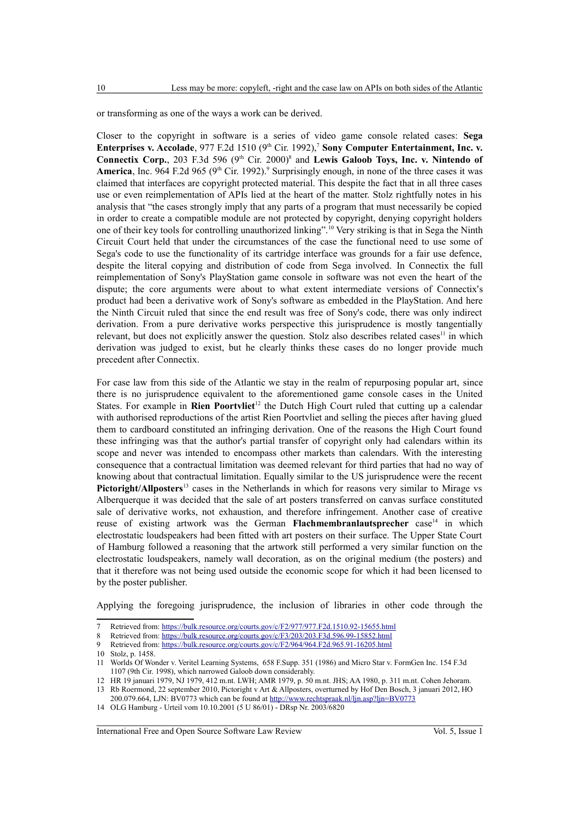or transforming as one of the ways a work can be derived.

Closer to the copyright in software is a series of video game console related cases: **Sega Enterprises v. Accolade**, 9[7](#page-5-0)7 F.2d 1510 (9<sup>th</sup> Cir. 1992),<sup>7</sup> **Sony Computer Entertainment, Inc. v. Connectix Corp.**, 203 F.3d 596 (9<sup>th</sup> Cir. 2000)<sup>[8](#page-5-1)</sup> and **Lewis Galoob Toys, Inc. v. Nintendo of America**, Inc. [9](#page-5-2)64 F.2d 965 (9<sup>th</sup> Cir. 1992).<sup>9</sup> Surprisingly enough, in none of the three cases it was claimed that interfaces are copyright protected material. This despite the fact that in all three cases use or even reimplementation of APIs lied at the heart of the matter. Stolz rightfully notes in his analysis that "the cases strongly imply that any parts of a program that must necessarily be copied in order to create a compatible module are not protected by copyright, denying copyright holders one of their key tools for controlling unauthorized linking".[10](#page-5-3) Very striking is that in Sega the Ninth Circuit Court held that under the circumstances of the case the functional need to use some of Sega's code to use the functionality of its cartridge interface was grounds for a fair use defence, despite the literal copying and distribution of code from Sega involved. In Connectix the full reimplementation of Sony's PlayStation game console in software was not even the heart of the dispute; the core arguments were about to what extent intermediate versions of Connectix's product had been a derivative work of Sony's software as embedded in the PlayStation. And here the Ninth Circuit ruled that since the end result was free of Sony's code, there was only indirect derivation. From a pure derivative works perspective this jurisprudence is mostly tangentially relevant, but does not explicitly answer the question. Stolz also describes related cases<sup>[11](#page-5-4)</sup> in which derivation was judged to exist, but he clearly thinks these cases do no longer provide much precedent after Connectix.

For case law from this side of the Atlantic we stay in the realm of repurposing popular art, since there is no jurisprudence equivalent to the aforementioned game console cases in the United States. For example in **Rien Poortvliet**[12](#page-5-5) the Dutch High Court ruled that cutting up a calendar with authorised reproductions of the artist Rien Poortvliet and selling the pieces after having glued them to cardboard constituted an infringing derivation. One of the reasons the High Court found these infringing was that the author's partial transfer of copyright only had calendars within its scope and never was intended to encompass other markets than calendars. With the interesting consequence that a contractual limitation was deemed relevant for third parties that had no way of knowing about that contractual limitation. Equally similar to the US jurisprudence were the recent **Pictoright/Allposters**<sup>[13](#page-5-6)</sup> cases in the Netherlands in which for reasons very similar to Mirage vs Alberquerque it was decided that the sale of art posters transferred on canvas surface constituted sale of derivative works, not exhaustion, and therefore infringement. Another case of creative reuse of existing artwork was the German Flachmembranlautsprecher case<sup>[14](#page-5-7)</sup> in which electrostatic loudspeakers had been fitted with art posters on their surface. The Upper State Court of Hamburg followed a reasoning that the artwork still performed a very similar function on the electrostatic loudspeakers, namely wall decoration, as on the original medium (the posters) and that it therefore was not being used outside the economic scope for which it had been licensed to by the poster publisher.

Applying the foregoing jurisprudence, the inclusion of libraries in other code through the

<span id="page-5-0"></span><sup>7</sup> Retrieved from:<https://bulk.resource.org/courts.gov/c/F2/977/977.F2d.1510.92-15655.html><br>8 Retrieved from: https://bulk.resource.org/courts.gov/c/F3/203/203 F3d 596-99-15852.html

<span id="page-5-1"></span>Retrieved from: https://bulk.resource.org/courts.gov/c/F3/203/203.F3d.596.99-15852.html

<span id="page-5-2"></span><sup>9</sup> Retrieved from:<https://bulk.resource.org/courts.gov/c/F2/964/964.F2d.965.91-16205.html>

<span id="page-5-3"></span><sup>10</sup> Stolz, p. 1458.

<span id="page-5-4"></span><sup>11</sup> Worlds Of Wonder v. Veritel Learning Systems, 658 F.Supp. 351 (1986) and Micro Star v. FormGen Inc. 154 F.3d 1107 (9th Cir. 1998), which narrowed Galoob down considerably.

<span id="page-5-6"></span><span id="page-5-5"></span><sup>12</sup> HR 19 januari 1979, NJ 1979, 412 m.nt. LWH; AMR 1979, p. 50 m.nt. JHS; AA 1980, p. 311 m.nt. Cohen Jehoram. 13 Rb Roermond, 22 september 2010, Pictoright v Art & Allposters, overturned by Hof Den Bosch, 3 januari 2012, HO

<sup>200.079.664,</sup> LJN: BV0773 which can be found at<http://www.rechtspraak.nl/ljn.asp?ljn=BV0773>

<span id="page-5-7"></span><sup>14</sup> OLG Hamburg - Urteil vom 10.10.2001 (5 U 86/01) - DRsp Nr. 2003/6820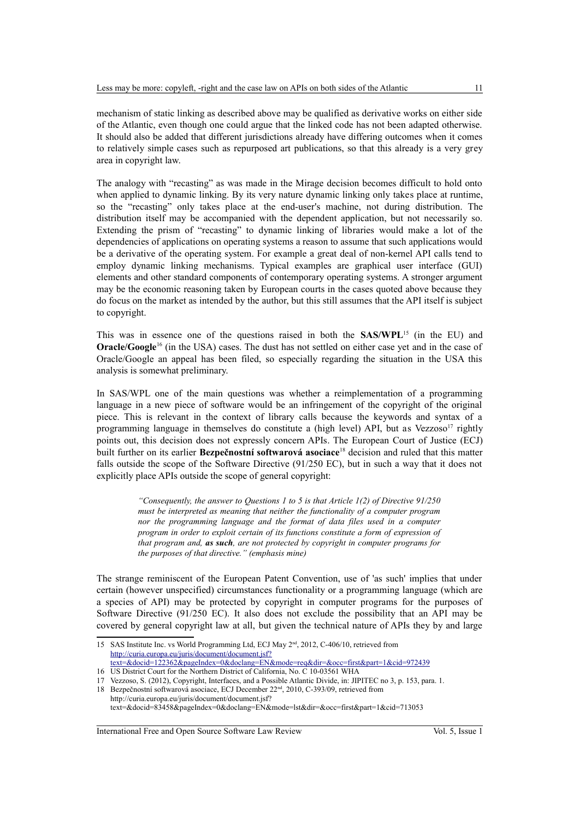mechanism of static linking as described above may be qualified as derivative works on either side of the Atlantic, even though one could argue that the linked code has not been adapted otherwise. It should also be added that different jurisdictions already have differing outcomes when it comes to relatively simple cases such as repurposed art publications, so that this already is a very grey area in copyright law.

The analogy with "recasting" as was made in the Mirage decision becomes difficult to hold onto when applied to dynamic linking. By its very nature dynamic linking only takes place at runtime, so the "recasting" only takes place at the end-user's machine, not during distribution. The distribution itself may be accompanied with the dependent application, but not necessarily so. Extending the prism of "recasting" to dynamic linking of libraries would make a lot of the dependencies of applications on operating systems a reason to assume that such applications would be a derivative of the operating system. For example a great deal of non-kernel API calls tend to employ dynamic linking mechanisms. Typical examples are graphical user interface (GUI) elements and other standard components of contemporary operating systems. A stronger argument may be the economic reasoning taken by European courts in the cases quoted above because they do focus on the market as intended by the author, but this still assumes that the API itself is subject to copyright.

This was in essence one of the questions raised in both the **SAS/WPL**[15](#page-6-0) (in the EU) and **Oracle/Google**<sup>[16](#page-6-1)</sup> (in the USA) cases. The dust has not settled on either case yet and in the case of Oracle/Google an appeal has been filed, so especially regarding the situation in the USA this analysis is somewhat preliminary.

In SAS/WPL one of the main questions was whether a reimplementation of a programming language in a new piece of software would be an infringement of the copyright of the original piece. This is relevant in the context of library calls because the keywords and syntax of a programming language in themselves do constitute a (high level) API, but as Vezzoso<sup>[17](#page-6-2)</sup> rightly points out, this decision does not expressly concern APIs. The European Court of Justice (ECJ) built further on its earlier **Bezpečnostní softwarová asociace**[18](#page-6-3) decision and ruled that this matter falls outside the scope of the Software Directive (91/250 EC), but in such a way that it does not explicitly place APIs outside the scope of general copyright:

> *"Consequently, the answer to Questions 1 to 5 is that Article 1(2) of Directive 91/250 must be interpreted as meaning that neither the functionality of a computer program nor the programming language and the format of data files used in a computer program in order to exploit certain of its functions constitute a form of expression of that program and, as such, are not protected by copyright in computer programs for the purposes of that directive." (emphasis mine)*

The strange reminiscent of the European Patent Convention, use of 'as such' implies that under certain (however unspecified) circumstances functionality or a programming language (which are a species of API) may be protected by copyright in computer programs for the purposes of Software Directive (91/250 EC). It also does not exclude the possibility that an API may be covered by general copyright law at all, but given the technical nature of APIs they by and large

<span id="page-6-0"></span><sup>15</sup> SAS Institute Inc. vs World Programming Ltd, ECJ May 2nd, 2012, C-406/10, retrieved from [http://curia.europa.eu/juris/document/document.jsf?](http://curia.europa.eu/juris/document/document.jsf?text=&docid=122362&pageIndex=0&doclang=EN&mode=req&dir=&occ=first&part=1&cid=972439) [text=&docid=122362&pageIndex=0&doclang=EN&mode=req&dir=&occ=first&part=1&cid=972439](http://curia.europa.eu/juris/document/document.jsf?text=&docid=122362&pageIndex=0&doclang=EN&mode=req&dir=&occ=first&part=1&cid=972439)

<span id="page-6-1"></span><sup>16</sup> US District Court for the Northern District of California, No. C 10-03561 WHA

<span id="page-6-2"></span><sup>17</sup> Vezzoso, S. (2012), Copyright, Interfaces, and a Possible Atlantic Divide, in: JIPITEC no 3, p. 153, para. 1.

<span id="page-6-3"></span><sup>18</sup> Bezpečnostní softwarová asociace, ECJ December 22nd, 2010, C-393/09, retrieved from http://curia.europa.eu/juris/document/document.jsf? text=&docid=83458&pageIndex=0&doclang=EN&mode=lst&dir=&occ=first&part=1&cid=713053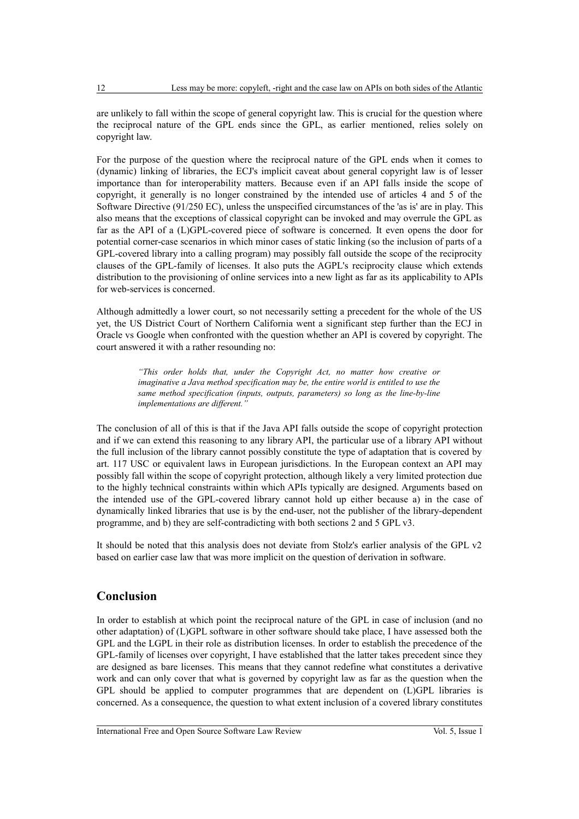are unlikely to fall within the scope of general copyright law. This is crucial for the question where the reciprocal nature of the GPL ends since the GPL, as earlier mentioned, relies solely on copyright law.

For the purpose of the question where the reciprocal nature of the GPL ends when it comes to (dynamic) linking of libraries, the ECJ's implicit caveat about general copyright law is of lesser importance than for interoperability matters. Because even if an API falls inside the scope of copyright, it generally is no longer constrained by the intended use of articles 4 and 5 of the Software Directive (91/250 EC), unless the unspecified circumstances of the 'as is' are in play. This also means that the exceptions of classical copyright can be invoked and may overrule the GPL as far as the API of a (L)GPL-covered piece of software is concerned. It even opens the door for potential corner-case scenarios in which minor cases of static linking (so the inclusion of parts of a GPL-covered library into a calling program) may possibly fall outside the scope of the reciprocity clauses of the GPL-family of licenses. It also puts the AGPL's reciprocity clause which extends distribution to the provisioning of online services into a new light as far as its applicability to APIs for web-services is concerned.

Although admittedly a lower court, so not necessarily setting a precedent for the whole of the US yet, the US District Court of Northern California went a significant step further than the ECJ in Oracle vs Google when confronted with the question whether an API is covered by copyright. The court answered it with a rather resounding no:

> *"This order holds that, under the Copyright Act, no matter how creative or imaginative a Java method specification may be, the entire world is entitled to use the same method specification (inputs, outputs, parameters) so long as the line-by-line implementations are different."*

The conclusion of all of this is that if the Java API falls outside the scope of copyright protection and if we can extend this reasoning to any library API, the particular use of a library API without the full inclusion of the library cannot possibly constitute the type of adaptation that is covered by art. 117 USC or equivalent laws in European jurisdictions. In the European context an API may possibly fall within the scope of copyright protection, although likely a very limited protection due to the highly technical constraints within which APIs typically are designed. Arguments based on the intended use of the GPL-covered library cannot hold up either because a) in the case of dynamically linked libraries that use is by the end-user, not the publisher of the library-dependent programme, and b) they are self-contradicting with both sections 2 and 5 GPL v3.

It should be noted that this analysis does not deviate from Stolz's earlier analysis of the GPL v2 based on earlier case law that was more implicit on the question of derivation in software.

# **Conclusion**

In order to establish at which point the reciprocal nature of the GPL in case of inclusion (and no other adaptation) of (L)GPL software in other software should take place, I have assessed both the GPL and the LGPL in their role as distribution licenses. In order to establish the precedence of the GPL-family of licenses over copyright, I have established that the latter takes precedent since they are designed as bare licenses. This means that they cannot redefine what constitutes a derivative work and can only cover that what is governed by copyright law as far as the question when the GPL should be applied to computer programmes that are dependent on (L)GPL libraries is concerned. As a consequence, the question to what extent inclusion of a covered library constitutes